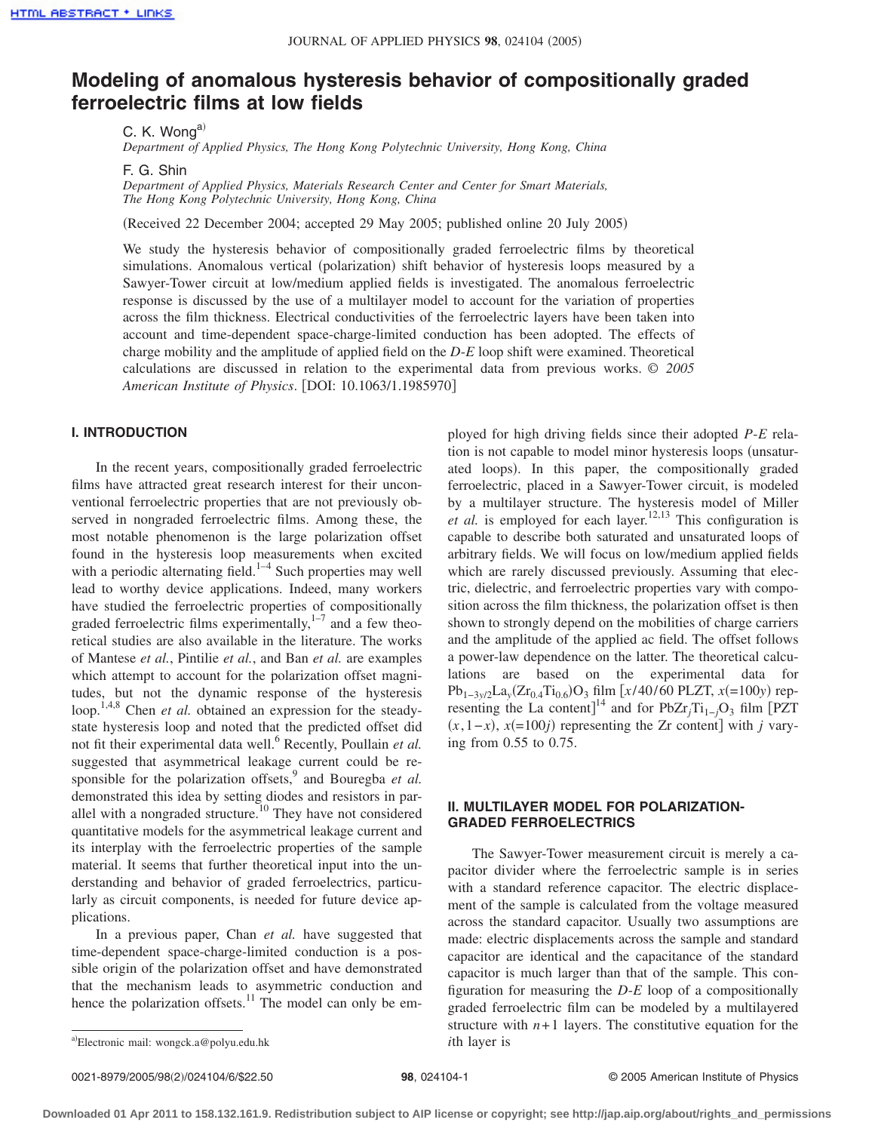# **Modeling of anomalous hysteresis behavior of compositionally graded ferroelectric films at low fields**

C. K. Wong<sup>a)</sup>

*Department of Applied Physics, The Hong Kong Polytechnic University, Hong Kong, China*

F. G. Shin

*Department of Applied Physics, Materials Research Center and Center for Smart Materials, The Hong Kong Polytechnic University, Hong Kong, China*

Received 22 December 2004; accepted 29 May 2005; published online 20 July 2005-

We study the hysteresis behavior of compositionally graded ferroelectric films by theoretical simulations. Anomalous vertical (polarization) shift behavior of hysteresis loops measured by a Sawyer-Tower circuit at low/medium applied fields is investigated. The anomalous ferroelectric response is discussed by the use of a multilayer model to account for the variation of properties across the film thickness. Electrical conductivities of the ferroelectric layers have been taken into account and time-dependent space-charge-limited conduction has been adopted. The effects of charge mobility and the amplitude of applied field on the *D*-*E* loop shift were examined. Theoretical calculations are discussed in relation to the experimental data from previous works. © *2005 American Institute of Physics*. DOI: 10.1063/1.1985970

## **I. INTRODUCTION**

In the recent years, compositionally graded ferroelectric films have attracted great research interest for their unconventional ferroelectric properties that are not previously observed in nongraded ferroelectric films. Among these, the most notable phenomenon is the large polarization offset found in the hysteresis loop measurements when excited with a periodic alternating field.<sup>1–4</sup> Such properties may well lead to worthy device applications. Indeed, many workers have studied the ferroelectric properties of compositionally graded ferroelectric films experimentally, $1-7$  and a few theoretical studies are also available in the literature. The works of Mantese *et al.*, Pintilie *et al.*, and Ban *et al.* are examples which attempt to account for the polarization offset magnitudes, but not the dynamic response of the hysteresis loop.<sup>1,4,8</sup> Chen *et al.* obtained an expression for the steadystate hysteresis loop and noted that the predicted offset did not fit their experimental data well.<sup>6</sup> Recently, Poullain *et al.* suggested that asymmetrical leakage current could be responsible for the polarization offsets,<sup>9</sup> and Bouregba *et al.* demonstrated this idea by setting diodes and resistors in parallel with a nongraded structure.<sup>10</sup> They have not considered quantitative models for the asymmetrical leakage current and its interplay with the ferroelectric properties of the sample material. It seems that further theoretical input into the understanding and behavior of graded ferroelectrics, particularly as circuit components, is needed for future device applications.

In a previous paper, Chan *et al.* have suggested that time-dependent space-charge-limited conduction is a possible origin of the polarization offset and have demonstrated that the mechanism leads to asymmetric conduction and hence the polarization offsets.<sup>11</sup> The model can only be em-

ployed for high driving fields since their adopted *P*-*E* relation is not capable to model minor hysteresis loops (unsaturated loops). In this paper, the compositionally graded ferroelectric, placed in a Sawyer-Tower circuit, is modeled by a multilayer structure. The hysteresis model of Miller *et al.* is employed for each layer.<sup>12,13</sup> This configuration is capable to describe both saturated and unsaturated loops of arbitrary fields. We will focus on low/medium applied fields which are rarely discussed previously. Assuming that electric, dielectric, and ferroelectric properties vary with composition across the film thickness, the polarization offset is then shown to strongly depend on the mobilities of charge carriers and the amplitude of the applied ac field. The offset follows a power-law dependence on the latter. The theoretical calculations are based on the experimental data for Pb<sub>1−3y/2</sub>La<sub>y</sub>(Zr<sub>0.4</sub>Ti<sub>0.6</sub>)O<sub>3</sub> film [*x*/40/60 PLZT, *x*(=100*y*) representing the La content]<sup>14</sup> and for PbZr<sub>j</sub>Ti<sub>1−j</sub>O<sub>3</sub> film [PZT]  $(x, 1-x)$ ,  $x(=100j)$  representing the Zr content] with *j* varying from 0.55 to 0.75.

## **II. MULTILAYER MODEL FOR POLARIZATION-GRADED FERROELECTRICS**

The Sawyer-Tower measurement circuit is merely a capacitor divider where the ferroelectric sample is in series with a standard reference capacitor. The electric displacement of the sample is calculated from the voltage measured across the standard capacitor. Usually two assumptions are made: electric displacements across the sample and standard capacitor are identical and the capacitance of the standard capacitor is much larger than that of the sample. This configuration for measuring the *D*-*E* loop of a compositionally graded ferroelectric film can be modeled by a multilayered structure with  $n+1$  layers. The constitutive equation for the

a)Electronic mail: wongck.a@polyu.edu.hk *i*th layer is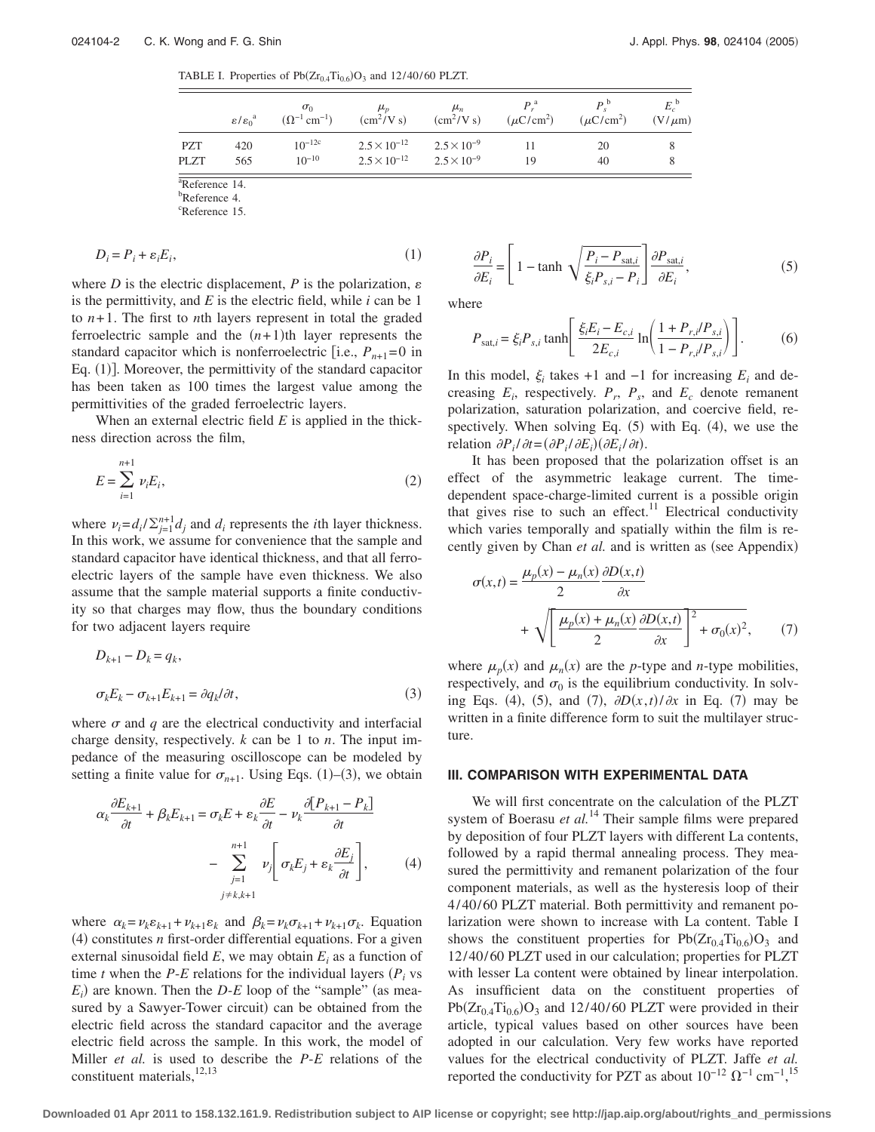TABLE I. Properties of  $Pb(Zr_{0.4}Ti_{0.6})O_3$  and 12/40/60 PLZT.

|                    | $\epsilon/\epsilon_0^a$ | $\sigma_0$<br>$(\Omega^{-1}$ cm <sup>-1</sup> ) | $\mu_{n}$<br>$\left(\frac{\text{cm}^2}{\text{V s}}\right)$          | $\mu_n$<br>$\text{cm}^2/\text{V}$ s) | P <sup>a</sup><br>$(\mu$ C/cm <sup>2</sup> ) | P <sup>0</sup><br>$(\mu$ C/cm <sup>2</sup> ) | $E_c^{\circ}$<br>$(V/\mu m)$ |
|--------------------|-------------------------|-------------------------------------------------|---------------------------------------------------------------------|--------------------------------------|----------------------------------------------|----------------------------------------------|------------------------------|
| <b>PZT</b><br>PLZT | 420<br>565              | $10^{-12c}$<br>$10^{-10}$                       | $2.5 \times 10^{-12}$ $2.5 \times 10^{-9}$<br>$2.5 \times 10^{-12}$ | $2.5 \times 10^{-9}$                 | 19                                           | 20<br>40                                     |                              |

a Reference 14.

<sup>b</sup>Reference 4.

<sup>c</sup>Reference 15.

$$
D_i = P_i + \varepsilon_i E_i,\tag{1}
$$

where *D* is the electric displacement, *P* is the polarization,  $\varepsilon$ is the permittivity, and *E* is the electric field, while *i* can be 1 to  $n+1$ . The first to *n*th layers represent in total the graded ferroelectric sample and the  $(n+1)$ <sup>th</sup> layer represents the standard capacitor which is nonferroelectric [i.e.,  $P_{n+1}=0$  in Eq. (1)]. Moreover, the permittivity of the standard capacitor has been taken as 100 times the largest value among the permittivities of the graded ferroelectric layers.

When an external electric field *E* is applied in the thickness direction across the film,

$$
E = \sum_{i=1}^{n+1} \nu_i E_i,
$$
 (2)

where  $\nu_i = d_i / \sum_{j=1}^{n+1} d_j$  and  $d_i$  represents the *i*th layer thickness. In this work, we assume for convenience that the sample and standard capacitor have identical thickness, and that all ferroelectric layers of the sample have even thickness. We also assume that the sample material supports a finite conductivity so that charges may flow, thus the boundary conditions for two adjacent layers require

$$
D_{k+1} - D_k = q_k,
$$
  
\n
$$
\sigma_k E_k - \sigma_{k+1} E_{k+1} = \partial q_k / \partial t,
$$
\n(3)

where  $\sigma$  and  $q$  are the electrical conductivity and interfacial charge density, respectively. *k* can be 1 to *n*. The input impedance of the measuring oscilloscope can be modeled by setting a finite value for  $\sigma_{n+1}$ . Using Eqs. (1)–(3), we obtain

$$
\alpha_k \frac{\partial E_{k+1}}{\partial t} + \beta_k E_{k+1} = \sigma_k E + \varepsilon_k \frac{\partial E}{\partial t} - \nu_k \frac{\partial [P_{k+1} - P_k]}{\partial t} - \sum_{\substack{j=1 \ j \neq k, k+1}}^{n+1} \nu_j \left[ \sigma_k E_j + \varepsilon_k \frac{\partial E_j}{\partial t} \right],\tag{4}
$$

where  $\alpha_k = \nu_k \varepsilon_{k+1} + \nu_{k+1} \varepsilon_k$  and  $\beta_k = \nu_k \sigma_{k+1} + \nu_{k+1} \sigma_k$ . Equation  $(4)$  constitutes *n* first-order differential equations. For a given external sinusoidal field  $E$ , we may obtain  $E_i$  as a function of time *t* when the *P*-*E* relations for the individual layers  $(P_i \text{ vs } i)$  $E_i$ ) are known. Then the *D*-*E* loop of the "sample" (as measured by a Sawyer-Tower circuit) can be obtained from the electric field across the standard capacitor and the average electric field across the sample. In this work, the model of Miller *et al.* is used to describe the *P*-*E* relations of the constituent materials, 12,13

$$
\frac{\partial P_i}{\partial E_i} = \left[ 1 - \tanh \sqrt{\frac{P_i - P_{\text{sat},i}}{\xi_i P_{s,i} - P_i}} \right] \frac{\partial P_{\text{sat},i}}{\partial E_i},\tag{5}
$$

where

$$
P_{\text{sat},i} = \xi_i P_{s,i} \tanh\left[\frac{\xi_i E_i - E_{c,i}}{2E_{c,i}} \ln\left(\frac{1 + P_{r,i}/P_{s,i}}{1 - P_{r,i}/P_{s,i}}\right)\right].
$$
 (6)

In this model,  $\xi$ <sub>i</sub> takes +1 and −1 for increasing  $E$ <sub>i</sub> and decreasing  $E_i$ , respectively.  $P_i$ ,  $P_s$ , and  $E_c$  denote remanent polarization, saturation polarization, and coercive field, respectively. When solving Eq.  $(5)$  with Eq.  $(4)$ , we use the relation  $\partial P_i / \partial t = (\partial P_i / \partial E_i) (\partial E_i / \partial t)$ .

It has been proposed that the polarization offset is an effect of the asymmetric leakage current. The timedependent space-charge-limited current is a possible origin that gives rise to such an effect.<sup>11</sup> Electrical conductivity which varies temporally and spatially within the film is recently given by Chan et al. and is written as (see Appendix)

$$
\sigma(x,t) = \frac{\mu_p(x) - \mu_n(x)}{2} \frac{\partial D(x,t)}{\partial x}
$$

$$
+ \sqrt{\left[\frac{\mu_p(x) + \mu_n(x)}{2} \frac{\partial D(x,t)}{\partial x}\right]^2 + \sigma_0(x)^2}, \qquad (7)
$$

where  $\mu_p(x)$  and  $\mu_n(x)$  are the *p*-type and *n*-type mobilities, respectively, and  $\sigma_0$  is the equilibrium conductivity. In solving Eqs. (4), (5), and (7),  $\partial D(x,t)/\partial x$  in Eq. (7) may be written in a finite difference form to suit the multilayer structure.

#### **III. COMPARISON WITH EXPERIMENTAL DATA**

We will first concentrate on the calculation of the PLZT system of Boerasu et al.<sup>14</sup> Their sample films were prepared by deposition of four PLZT layers with different La contents, followed by a rapid thermal annealing process. They measured the permittivity and remanent polarization of the four component materials, as well as the hysteresis loop of their 4/ 40/ 60 PLZT material. Both permittivity and remanent polarization were shown to increase with La content. Table I shows the constituent properties for  $Pb(Zr_{0.4}Ti_{0.6})O_3$  and 12/ 40/ 60 PLZT used in our calculation; properties for PLZT with lesser La content were obtained by linear interpolation. As insufficient data on the constituent properties of  $Pb(Zr_{0.4}Ti_{0.6})O_3$  and 12/40/60 PLZT were provided in their article, typical values based on other sources have been adopted in our calculation. Very few works have reported values for the electrical conductivity of PLZT. Jaffe *et al.* reported the conductivity for PZT as about  $10^{-12} \Omega^{-1}$  cm<sup>-1</sup>,<sup>15</sup>

**Downloaded 01 Apr 2011 to 158.132.161.9. Redistribution subject to AIP license or copyright; see http://jap.aip.org/about/rights\_and\_permissions**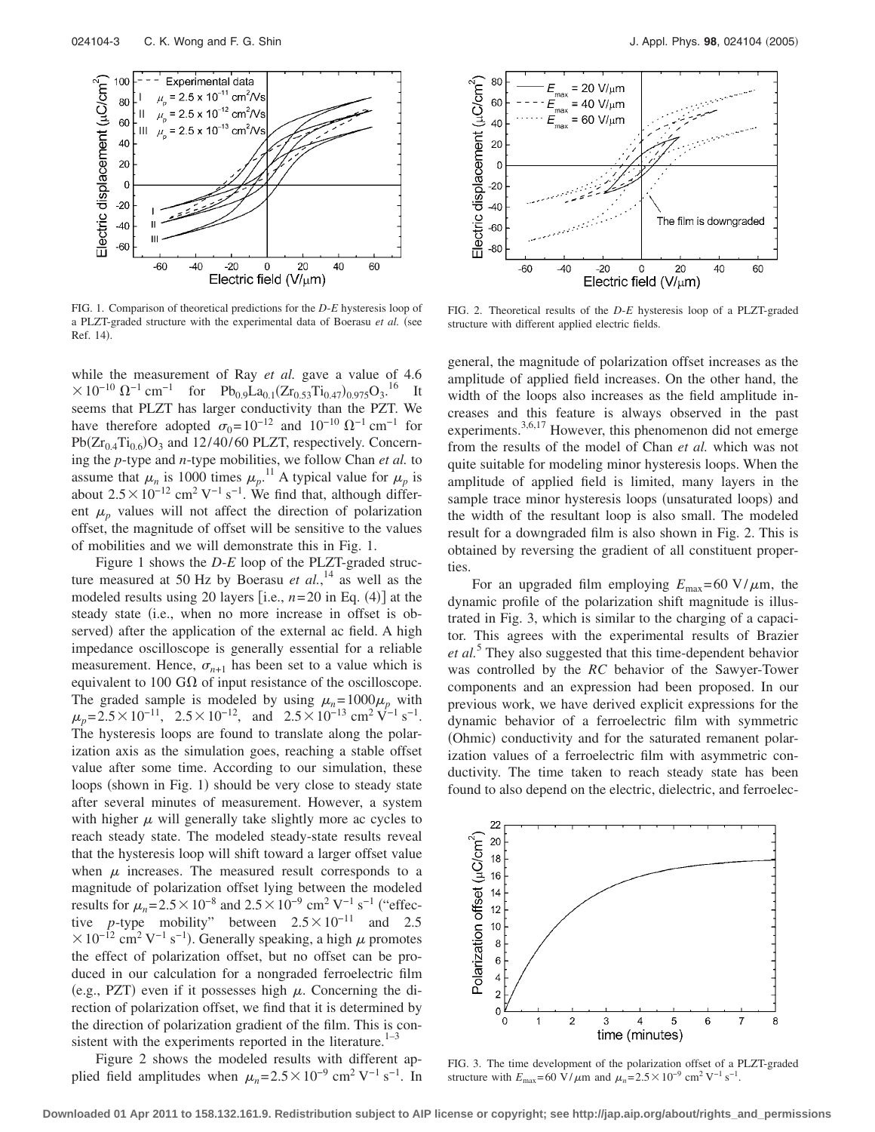

FIG. 1. Comparison of theoretical predictions for the *D*-*E* hysteresis loop of a PLZT-graded structure with the experimental data of Boerasu et al. (see Ref. 14).

while the measurement of Ray *et al.* gave a value of 4.6  $\times 10^{-10} \Omega^{-1}$  cm<sup>-1</sup> for Pb<sub>0.9</sub>La<sub>0.1</sub>(Zr<sub>0.53</sub>Ti<sub>0.47</sub>)<sub>0.975</sub>O<sub>3</sub>.<sup>16</sup> It seems that PLZT has larger conductivity than the PZT. We have therefore adopted  $\sigma_0 = 10^{-12}$  and  $10^{-10} \Omega^{-1}$  cm<sup>-1</sup> for  $Pb(Zr_{0.4}Ti_{0.6})O_3$  and 12/40/60 PLZT, respectively. Concerning the *p*-type and *n*-type mobilities, we follow Chan *et al.* to assume that  $\mu_n$  is 1000 times  $\mu_p$ .<sup>11</sup> A typical value for  $\mu_p$  is about  $2.5 \times 10^{-12}$  cm<sup>2</sup> V<sup>-1</sup> s<sup>-1</sup>. We find that, although different  $\mu_p$  values will not affect the direction of polarization offset, the magnitude of offset will be sensitive to the values of mobilities and we will demonstrate this in Fig. 1.

Figure 1 shows the *D*-*E* loop of the PLZT-graded structure measured at 50 Hz by Boerasu *et al.*, <sup>14</sup> as well as the modeled results using 20 layers [i.e.,  $n=20$  in Eq. (4)] at the steady state (i.e., when no more increase in offset is observed) after the application of the external ac field. A high impedance oscilloscope is generally essential for a reliable measurement. Hence,  $\sigma_{n+1}$  has been set to a value which is equivalent to 100 G $\Omega$  of input resistance of the oscilloscope. The graded sample is modeled by using  $\mu_n = 1000\mu_p$  with  $\mu_p$ = 2.5 × 10<sup>-11</sup>, 2.5 × 10<sup>-12</sup>, and 2.5 × 10<sup>-13</sup> cm<sup>2</sup> V<sup>-1</sup> s<sup>-1</sup>. The hysteresis loops are found to translate along the polarization axis as the simulation goes, reaching a stable offset value after some time. According to our simulation, these loops (shown in Fig. 1) should be very close to steady state after several minutes of measurement. However, a system with higher  $\mu$  will generally take slightly more ac cycles to reach steady state. The modeled steady-state results reveal that the hysteresis loop will shift toward a larger offset value when  $\mu$  increases. The measured result corresponds to a magnitude of polarization offset lying between the modeled results for  $\mu_n = 2.5 \times 10^{-8}$  and  $2.5 \times 10^{-9}$  cm<sup>2</sup> V<sup>-1</sup> s<sup>-1</sup> ("effective *p*-type mobility" between  $2.5 \times 10^{-11}$  and 2.5  $\times 10^{-12}$  cm<sup>2</sup> V<sup>-1</sup> s<sup>-1</sup>). Generally speaking, a high  $\mu$  promotes the effect of polarization offset, but no offset can be produced in our calculation for a nongraded ferroelectric film (e.g., PZT) even if it possesses high  $\mu$ . Concerning the direction of polarization offset, we find that it is determined by the direction of polarization gradient of the film. This is consistent with the experiments reported in the literature. $1-3$ 

Figure 2 shows the modeled results with different applied field amplitudes when  $\mu_n = 2.5 \times 10^{-9}$  cm<sup>2</sup> V<sup>-1</sup> s<sup>-1</sup>. In



FIG. 2. Theoretical results of the *D*-*E* hysteresis loop of a PLZT-graded structure with different applied electric fields.

general, the magnitude of polarization offset increases as the amplitude of applied field increases. On the other hand, the width of the loops also increases as the field amplitude increases and this feature is always observed in the past experiments.3,6,17 However, this phenomenon did not emerge from the results of the model of Chan *et al.* which was not quite suitable for modeling minor hysteresis loops. When the amplitude of applied field is limited, many layers in the sample trace minor hysteresis loops (unsaturated loops) and the width of the resultant loop is also small. The modeled result for a downgraded film is also shown in Fig. 2. This is obtained by reversing the gradient of all constituent properties.

For an upgraded film employing  $E_{\text{max}} = 60 \text{ V}/\mu \text{m}$ , the dynamic profile of the polarization shift magnitude is illustrated in Fig. 3, which is similar to the charging of a capacitor. This agrees with the experimental results of Brazier *et al.*<sup>5</sup> They also suggested that this time-dependent behavior was controlled by the *RC* behavior of the Sawyer-Tower components and an expression had been proposed. In our previous work, we have derived explicit expressions for the dynamic behavior of a ferroelectric film with symmetric (Ohmic) conductivity and for the saturated remanent polarization values of a ferroelectric film with asymmetric conductivity. The time taken to reach steady state has been found to also depend on the electric, dielectric, and ferroelec-



FIG. 3. The time development of the polarization offset of a PLZT-graded structure with  $E_{\text{max}} = 60 \text{ V}/\mu \text{m}$  and  $\mu_n = 2.5 \times 10^{-9} \text{ cm}^2 \text{ V}^{-1} \text{ s}^{-1}$ .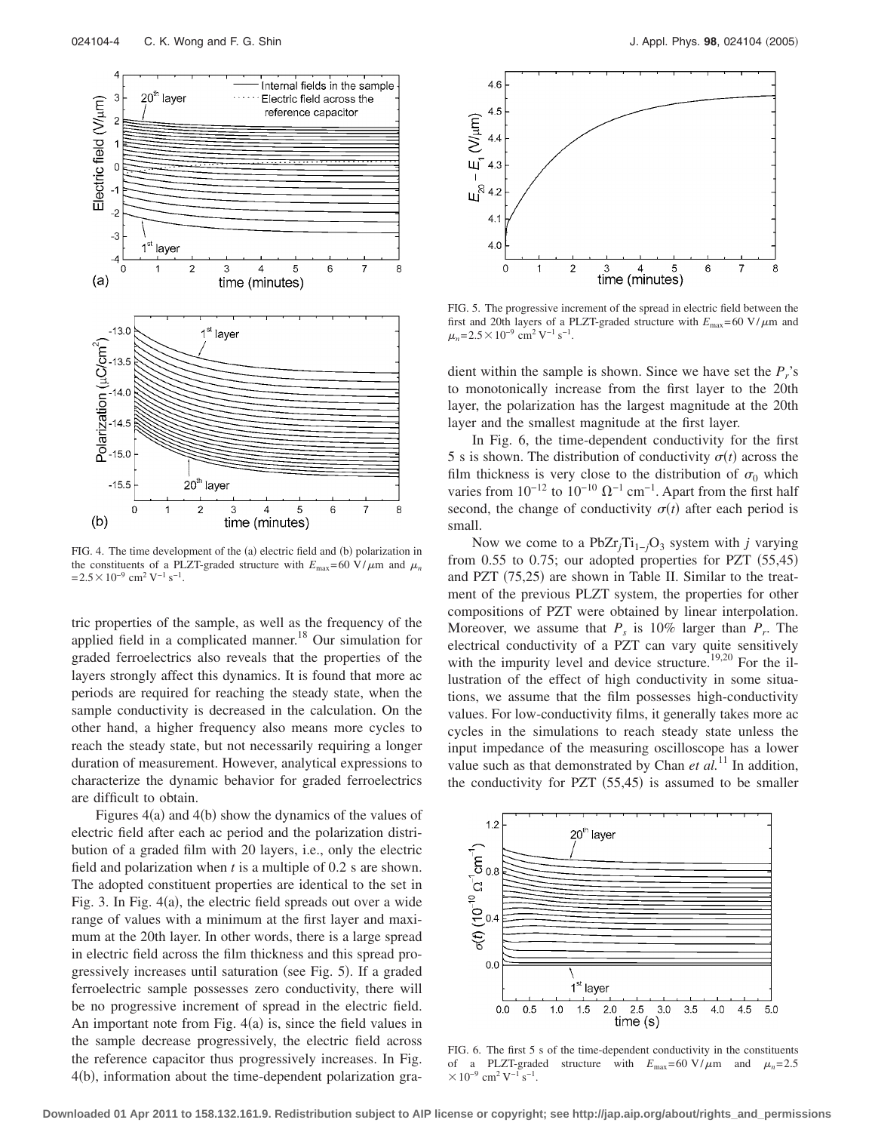

FIG. 4. The time development of the (a) electric field and (b) polarization in the constituents of a PLZT-graded structure with  $E_{\text{max}} = 60 \text{ V}/\mu \text{m}$  and  $\mu_n$  $= 2.5 \times 10^{-9}$  cm<sup>2</sup> V<sup>-1</sup> s<sup>-1</sup>.

tric properties of the sample, as well as the frequency of the applied field in a complicated manner.<sup>18</sup> Our simulation for graded ferroelectrics also reveals that the properties of the layers strongly affect this dynamics. It is found that more ac periods are required for reaching the steady state, when the sample conductivity is decreased in the calculation. On the other hand, a higher frequency also means more cycles to reach the steady state, but not necessarily requiring a longer duration of measurement. However, analytical expressions to characterize the dynamic behavior for graded ferroelectrics are difficult to obtain.

Figures  $4(a)$  and  $4(b)$  show the dynamics of the values of electric field after each ac period and the polarization distribution of a graded film with 20 layers, i.e., only the electric field and polarization when *t* is a multiple of 0.2 s are shown. The adopted constituent properties are identical to the set in Fig. 3. In Fig. 4(a), the electric field spreads out over a wide range of values with a minimum at the first layer and maximum at the 20th layer. In other words, there is a large spread in electric field across the film thickness and this spread progressively increases until saturation (see Fig. 5). If a graded ferroelectric sample possesses zero conductivity, there will be no progressive increment of spread in the electric field. An important note from Fig.  $4(a)$  is, since the field values in the sample decrease progressively, the electric field across the reference capacitor thus progressively increases. In Fig. 4(b), information about the time-dependent polarization gra-



FIG. 5. The progressive increment of the spread in electric field between the first and 20th layers of a PLZT-graded structure with  $E_{\text{max}} = 60 \text{ V}/\mu\text{m}$  and  $\mu_n = 2.5 \times 10^{-9}$  cm<sup>2</sup> V<sup>-1</sup> s<sup>-1</sup>.

dient within the sample is shown. Since we have set the  $P_r$ 's to monotonically increase from the first layer to the 20th layer, the polarization has the largest magnitude at the 20th layer and the smallest magnitude at the first layer.

In Fig. 6, the time-dependent conductivity for the first 5 s is shown. The distribution of conductivity  $\sigma(t)$  across the film thickness is very close to the distribution of  $\sigma_0$  which varies from  $10^{-12}$  to  $10^{-10}$   $\Omega^{-1}$  cm<sup>-1</sup>. Apart from the first half second, the change of conductivity  $\sigma(t)$  after each period is small.

Now we come to a PbZr<sub>*j*</sub>Ti<sub>1−*j*</sub>O<sub>3</sub> system with *j* varying from  $0.55$  to  $0.75$ ; our adopted properties for PZT  $(55,45)$ and PZT (75,25) are shown in Table II. Similar to the treatment of the previous PLZT system, the properties for other compositions of PZT were obtained by linear interpolation. Moreover, we assume that  $P_s$  is 10% larger than  $P_r$ . The electrical conductivity of a PZT can vary quite sensitively with the impurity level and device structure.<sup>19,20</sup> For the illustration of the effect of high conductivity in some situations, we assume that the film possesses high-conductivity values. For low-conductivity films, it generally takes more ac cycles in the simulations to reach steady state unless the input impedance of the measuring oscilloscope has a lower value such as that demonstrated by Chan *et al.*<sup>11</sup> In addition, the conductivity for PZT  $(55, 45)$  is assumed to be smaller



FIG. 6. The first 5 s of the time-dependent conductivity in the constituents of a PLZT-graded structure with  $E_{\text{max}} = 60 \text{ V}/\mu\text{m}$  and  $\mu_n = 2.5$  $\times 10^{-9}$  cm<sup>2</sup> V<sup>-1</sup> s<sup>-1</sup>.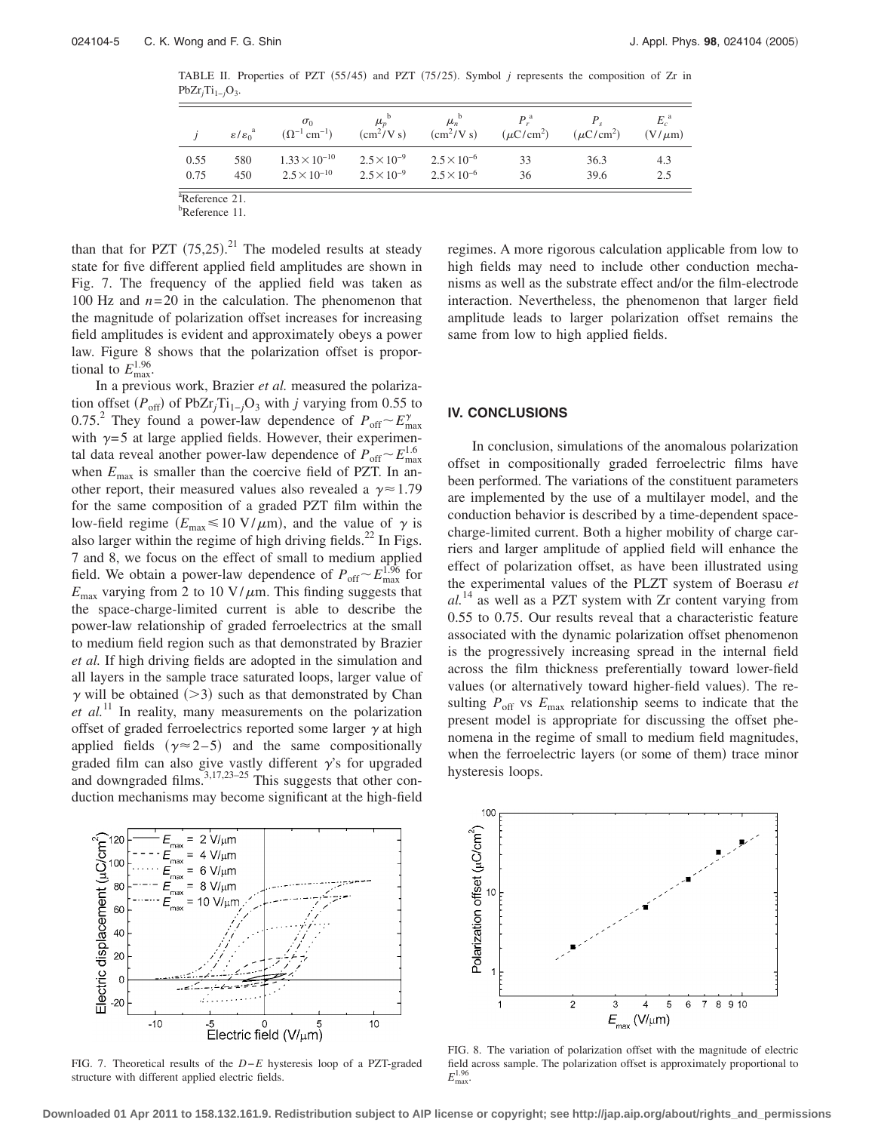TABLE II. Properties of PZT (55/45) and PZT (75/25). Symbol *j* represents the composition of Zr in  $PbZr_jTi_{1-j}O_3$ .

|      | $\epsilon/\epsilon_0^a$ | $\sigma_0$<br>$(\Omega^{-1}$ cm <sup>-1</sup> ) | $\mu_{n}$<br>$\rm (cm^2/Vs)$ | $\mu_{\scriptscriptstyle n}$<br>$\rm (cm^2/Vs)$ | $P_{\cdot}^{\alpha}$<br>$(\mu$ C/cm <sup>2</sup> ) | $(\mu$ C/cm <sup>2</sup> ) | $E_{\circ}^{\mathfrak{a}}$<br>$(V/\mu m)$ |
|------|-------------------------|-------------------------------------------------|------------------------------|-------------------------------------------------|----------------------------------------------------|----------------------------|-------------------------------------------|
| 0.55 | 580                     | $1.33 \times 10^{-10}$                          | $2.5 \times 10^{-9}$         | $2.5 \times 10^{-6}$                            | 33                                                 | 36.3                       | 4.3                                       |
| 0.75 | 450                     | $2.5 \times 10^{-10}$                           | $2.5 \times 10^{-9}$         | $2.5 \times 10^{-6}$                            | 36                                                 | 39.6                       | 2.5                                       |

a Reference 21.

<sup>b</sup>Reference 11.

than that for PZT  $(75,25)$ .<sup>21</sup> The modeled results at steady state for five different applied field amplitudes are shown in Fig. 7. The frequency of the applied field was taken as 100 Hz and  $n=20$  in the calculation. The phenomenon that the magnitude of polarization offset increases for increasing field amplitudes is evident and approximately obeys a power law. Figure 8 shows that the polarization offset is proportional to  $E_{\text{max}}^{1.96}$ .

In a previous work, Brazier *et al.* measured the polarization offset  $(P_{\text{off}})$  of PbZr<sub>j</sub>Ti<sub>1−j</sub>O<sub>3</sub> with *j* varying from 0.55 to 0.75.<sup>2</sup> They found a power-law dependence of  $P_{\text{off}} \sim E_{\text{max}}^{\gamma}$ with  $\gamma = 5$  at large applied fields. However, their experimental data reveal another power-law dependence of  $P_{\text{off}} \sim E_{\text{max}}^{1.6}$ when  $E_{\text{max}}$  is smaller than the coercive field of PZT. In another report, their measured values also revealed a  $\gamma \approx 1.79$ for the same composition of a graded PZT film within the low-field regime ( $E_{\text{max}} \le 10 \text{ V}/\mu\text{m}$ ), and the value of  $\gamma$  is also larger within the regime of high driving fields.<sup>22</sup> In Figs. 7 and 8, we focus on the effect of small to medium applied field. We obtain a power-law dependence of  $P_{\text{off}} \sim E_{\text{max}}^{1.96}$  for  $E_{\text{max}}$  varying from 2 to 10 V/ $\mu$ m. This finding suggests that the space-charge-limited current is able to describe the power-law relationship of graded ferroelectrics at the small to medium field region such as that demonstrated by Brazier *et al.* If high driving fields are adopted in the simulation and all layers in the sample trace saturated loops, larger value of  $\gamma$  will be obtained (>3) such as that demonstrated by Chan  $et \ al.<sup>11</sup>$  In reality, many measurements on the polarization offset of graded ferroelectrics reported some larger  $\gamma$  at high applied fields  $(\gamma \approx 2-5)$  and the same compositionally graded film can also give vastly different  $\gamma$ 's for upgraded and downgraded films. $3,17,23-25$  This suggests that other conduction mechanisms may become significant at the high-field



FIG. 7. Theoretical results of the *D*−*E* hysteresis loop of a PZT-graded structure with different applied electric fields.

regimes. A more rigorous calculation applicable from low to high fields may need to include other conduction mechanisms as well as the substrate effect and/or the film-electrode interaction. Nevertheless, the phenomenon that larger field amplitude leads to larger polarization offset remains the same from low to high applied fields.

#### **IV. CONCLUSIONS**

In conclusion, simulations of the anomalous polarization offset in compositionally graded ferroelectric films have been performed. The variations of the constituent parameters are implemented by the use of a multilayer model, and the conduction behavior is described by a time-dependent spacecharge-limited current. Both a higher mobility of charge carriers and larger amplitude of applied field will enhance the effect of polarization offset, as have been illustrated using the experimental values of the PLZT system of Boerasu *et al.*<sup>14</sup> as well as a PZT system with Zr content varying from 0.55 to 0.75. Our results reveal that a characteristic feature associated with the dynamic polarization offset phenomenon is the progressively increasing spread in the internal field across the film thickness preferentially toward lower-field values (or alternatively toward higher-field values). The resulting  $P_{\text{off}}$  vs  $E_{\text{max}}$  relationship seems to indicate that the present model is appropriate for discussing the offset phenomena in the regime of small to medium field magnitudes, when the ferroelectric layers (or some of them) trace minor hysteresis loops.



FIG. 8. The variation of polarization offset with the magnitude of electric field across sample. The polarization offset is approximately proportional to  $E_{\rm max}^{1.96}$ .

**Downloaded 01 Apr 2011 to 158.132.161.9. Redistribution subject to AIP license or copyright; see http://jap.aip.org/about/rights\_and\_permissions**